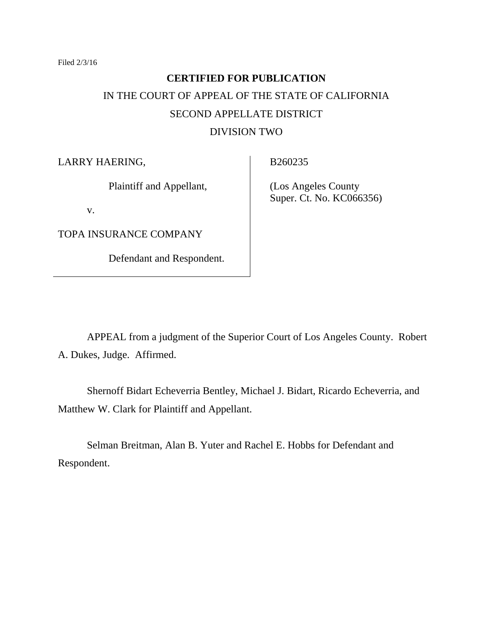Filed 2/3/16

# **CERTIFIED FOR PUBLICATION** IN THE COURT OF APPEAL OF THE STATE OF CALIFORNIA SECOND APPELLATE DISTRICT DIVISION TWO

LARRY HAERING,

Plaintiff and Appellant,

v.

TOPA INSURANCE COMPANY

Defendant and Respondent.

B260235

 (Los Angeles County Super. Ct. No. KC066356)

APPEAL from a judgment of the Superior Court of Los Angeles County. Robert A. Dukes, Judge. Affirmed.

Shernoff Bidart Echeverria Bentley, Michael J. Bidart, Ricardo Echeverria, and Matthew W. Clark for Plaintiff and Appellant.

Selman Breitman, Alan B. Yuter and Rachel E. Hobbs for Defendant and Respondent.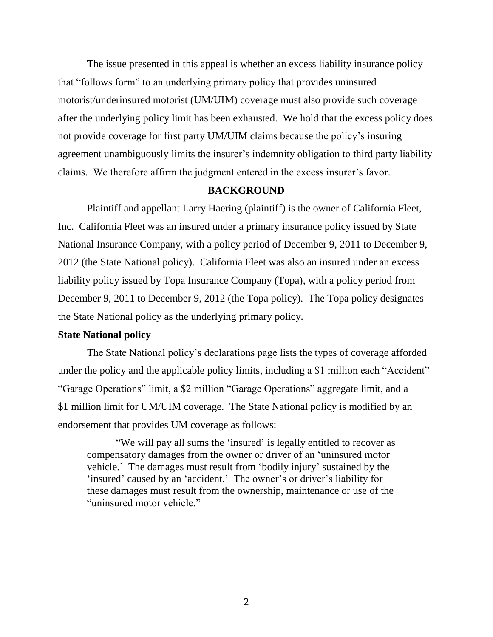The issue presented in this appeal is whether an excess liability insurance policy that "follows form" to an underlying primary policy that provides uninsured motorist/underinsured motorist (UM/UIM) coverage must also provide such coverage after the underlying policy limit has been exhausted. We hold that the excess policy does not provide coverage for first party UM/UIM claims because the policy's insuring agreement unambiguously limits the insurer's indemnity obligation to third party liability claims. We therefore affirm the judgment entered in the excess insurer's favor.

#### **BACKGROUND**

Plaintiff and appellant Larry Haering (plaintiff) is the owner of California Fleet, Inc. California Fleet was an insured under a primary insurance policy issued by State National Insurance Company, with a policy period of December 9, 2011 to December 9, 2012 (the State National policy). California Fleet was also an insured under an excess liability policy issued by Topa Insurance Company (Topa), with a policy period from December 9, 2011 to December 9, 2012 (the Topa policy). The Topa policy designates the State National policy as the underlying primary policy.

#### **State National policy**

The State National policy's declarations page lists the types of coverage afforded under the policy and the applicable policy limits, including a \$1 million each "Accident" "Garage Operations" limit, a \$2 million "Garage Operations" aggregate limit, and a \$1 million limit for UM/UIM coverage. The State National policy is modified by an endorsement that provides UM coverage as follows:

"We will pay all sums the 'insured' is legally entitled to recover as compensatory damages from the owner or driver of an 'uninsured motor vehicle.' The damages must result from 'bodily injury' sustained by the 'insured' caused by an 'accident.' The owner's or driver's liability for these damages must result from the ownership, maintenance or use of the "uninsured motor vehicle."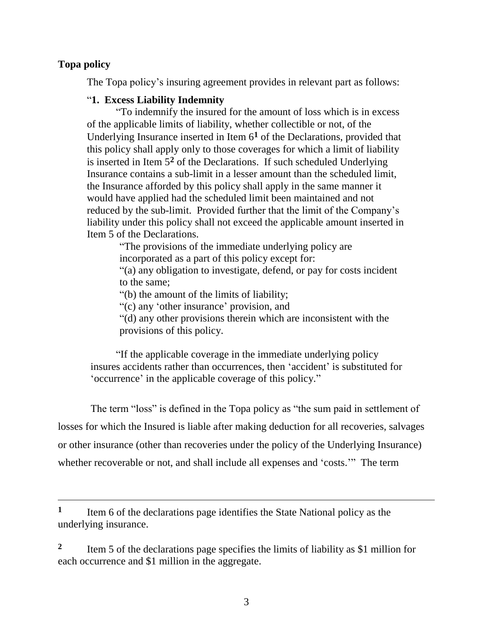## **Topa policy**

 $\overline{a}$ 

The Topa policy's insuring agreement provides in relevant part as follows:

## "**1. Excess Liability Indemnity**

"To indemnify the insured for the amount of loss which is in excess of the applicable limits of liability, whether collectible or not, of the Underlying Insurance inserted in Item 6**<sup>1</sup>** of the Declarations, provided that this policy shall apply only to those coverages for which a limit of liability is inserted in Item 5**<sup>2</sup>** of the Declarations. If such scheduled Underlying Insurance contains a sub-limit in a lesser amount than the scheduled limit, the Insurance afforded by this policy shall apply in the same manner it would have applied had the scheduled limit been maintained and not reduced by the sub-limit. Provided further that the limit of the Company's liability under this policy shall not exceed the applicable amount inserted in Item 5 of the Declarations.

> "The provisions of the immediate underlying policy are incorporated as a part of this policy except for:

"(a) any obligation to investigate, defend, or pay for costs incident to the same;

"(b) the amount of the limits of liability;

"(c) any 'other insurance' provision, and

"(d) any other provisions therein which are inconsistent with the provisions of this policy.

"If the applicable coverage in the immediate underlying policy insures accidents rather than occurrences, then 'accident' is substituted for 'occurrence' in the applicable coverage of this policy."

The term "loss" is defined in the Topa policy as "the sum paid in settlement of losses for which the Insured is liable after making deduction for all recoveries, salvages or other insurance (other than recoveries under the policy of the Underlying Insurance) whether recoverable or not, and shall include all expenses and 'costs.'" The term

**1** Item 6 of the declarations page identifies the State National policy as the underlying insurance.

**2** Item 5 of the declarations page specifies the limits of liability as \$1 million for each occurrence and \$1 million in the aggregate.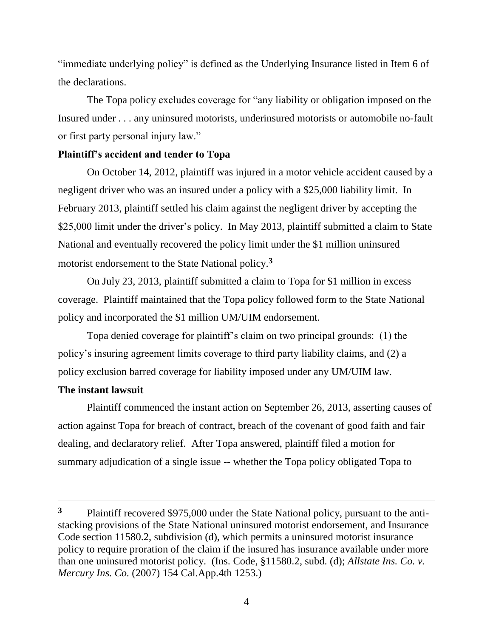"immediate underlying policy" is defined as the Underlying Insurance listed in Item 6 of the declarations.

The Topa policy excludes coverage for "any liability or obligation imposed on the Insured under . . . any uninsured motorists, underinsured motorists or automobile no-fault or first party personal injury law."

#### **Plaintiff's accident and tender to Topa**

On October 14, 2012, plaintiff was injured in a motor vehicle accident caused by a negligent driver who was an insured under a policy with a \$25,000 liability limit. In February 2013, plaintiff settled his claim against the negligent driver by accepting the \$25,000 limit under the driver's policy. In May 2013, plaintiff submitted a claim to State National and eventually recovered the policy limit under the \$1 million uninsured motorist endorsement to the State National policy.**<sup>3</sup>**

On July 23, 2013, plaintiff submitted a claim to Topa for \$1 million in excess coverage. Plaintiff maintained that the Topa policy followed form to the State National policy and incorporated the \$1 million UM/UIM endorsement.

Topa denied coverage for plaintiff's claim on two principal grounds: (1) the policy's insuring agreement limits coverage to third party liability claims, and (2) a policy exclusion barred coverage for liability imposed under any UM/UIM law.

### **The instant lawsuit**

Plaintiff commenced the instant action on September 26, 2013, asserting causes of action against Topa for breach of contract, breach of the covenant of good faith and fair dealing, and declaratory relief. After Topa answered, plaintiff filed a motion for summary adjudication of a single issue -- whether the Topa policy obligated Topa to

**<sup>3</sup>** Plaintiff recovered \$975,000 under the State National policy, pursuant to the antistacking provisions of the State National uninsured motorist endorsement, and Insurance Code section 11580.2, subdivision (d), which permits a uninsured motorist insurance policy to require proration of the claim if the insured has insurance available under more than one uninsured motorist policy. (Ins. Code, §11580.2, subd. (d); *Allstate Ins. Co. v. Mercury Ins. Co.* (2007) 154 Cal.App.4th 1253.)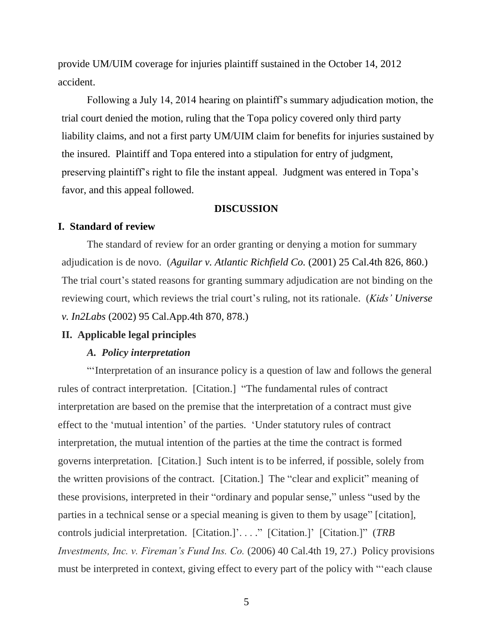provide UM/UIM coverage for injuries plaintiff sustained in the October 14, 2012 accident.

Following a July 14, 2014 hearing on plaintiff's summary adjudication motion, the trial court denied the motion, ruling that the Topa policy covered only third party liability claims, and not a first party UM/UIM claim for benefits for injuries sustained by the insured. Plaintiff and Topa entered into a stipulation for entry of judgment, preserving plaintiff's right to file the instant appeal. Judgment was entered in Topa's favor, and this appeal followed.

#### **DISCUSSION**

#### **I. Standard of review**

The standard of review for an order granting or denying a motion for summary adjudication is de novo. (*Aguilar v. Atlantic Richfield Co.* (2001) 25 Cal.4th 826, 860.) The trial court's stated reasons for granting summary adjudication are not binding on the reviewing court, which reviews the trial court's ruling, not its rationale. (*Kids' Universe v. In2Labs* (2002) 95 Cal.App.4th 870, 878.)

#### **II. Applicable legal principles**

#### *A. Policy interpretation*

"'Interpretation of an insurance policy is a question of law and follows the general rules of contract interpretation. [Citation.] "The fundamental rules of contract interpretation are based on the premise that the interpretation of a contract must give effect to the 'mutual intention' of the parties. 'Under statutory rules of contract interpretation, the mutual intention of the parties at the time the contract is formed governs interpretation. [Citation.] Such intent is to be inferred, if possible, solely from the written provisions of the contract. [Citation.] The "clear and explicit" meaning of these provisions, interpreted in their "ordinary and popular sense," unless "used by the parties in a technical sense or a special meaning is given to them by usage" [citation], controls judicial interpretation. [Citation.]'. . . ." [Citation.]' [Citation.]" (*TRB Investments, Inc. v. Fireman's Fund Ins. Co.* (2006) 40 Cal.4th 19, 27.) Policy provisions must be interpreted in context, giving effect to every part of the policy with "'each clause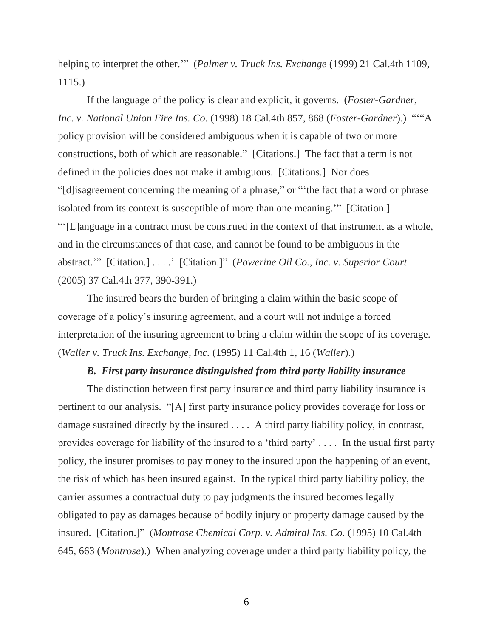helping to interpret the other.'" (*Palmer v. Truck Ins. Exchange* (1999) 21 Cal.4th 1109, 1115.)

If the language of the policy is clear and explicit, it governs. (*Foster-Gardner, Inc. v. National Union Fire Ins. Co.* (1998) 18 Cal.4th 857, 868 (*Foster-Gardner*).) "'"A policy provision will be considered ambiguous when it is capable of two or more constructions, both of which are reasonable." [Citations.] The fact that a term is not defined in the policies does not make it ambiguous. [Citations.] Nor does "[d]isagreement concerning the meaning of a phrase," or "'the fact that a word or phrase isolated from its context is susceptible of more than one meaning.'" [Citation.] "'[L]anguage in a contract must be construed in the context of that instrument as a whole, and in the circumstances of that case, and cannot be found to be ambiguous in the abstract.'" [Citation.] . . . .' [Citation.]" (*Powerine Oil Co., Inc. v. Superior Court* 

(2005) 37 Cal.4th 377, 390-391.)

The insured bears the burden of bringing a claim within the basic scope of coverage of a policy's insuring agreement, and a court will not indulge a forced interpretation of the insuring agreement to bring a claim within the scope of its coverage. (*Waller v. Truck Ins. Exchange, Inc.* (1995) 11 Cal.4th 1, 16 (*Waller*).)

#### *B. First party insurance distinguished from third party liability insurance*

The distinction between first party insurance and third party liability insurance is pertinent to our analysis. "[A] first party insurance policy provides coverage for loss or damage sustained directly by the insured . . . . A third party liability policy, in contrast, provides coverage for liability of the insured to a 'third party' . . . . In the usual first party policy, the insurer promises to pay money to the insured upon the happening of an event, the risk of which has been insured against. In the typical third party liability policy, the carrier assumes a contractual duty to pay judgments the insured becomes legally obligated to pay as damages because of bodily injury or property damage caused by the insured. [Citation.]" (*Montrose Chemical Corp. v. Admiral Ins. Co.* (1995) 10 Cal.4th 645, 663 (*Montrose*).) When analyzing coverage under a third party liability policy, the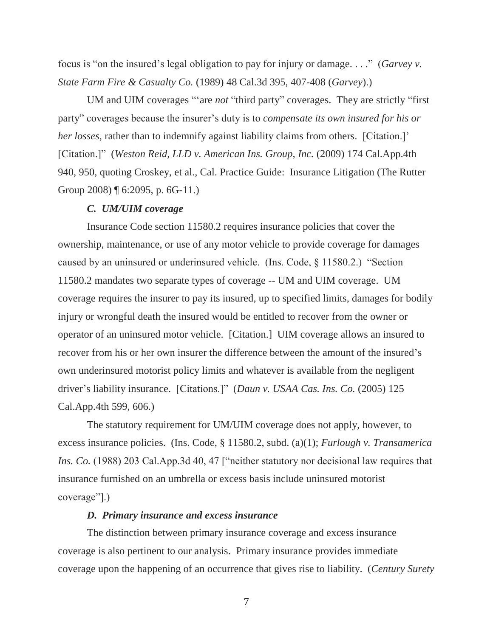focus is "on the insured's legal obligation to pay for injury or damage. . . ." (*Garvey v. State Farm Fire & Casualty Co.* (1989) 48 Cal.3d 395, 407-408 (*Garvey*).)

UM and UIM coverages "'are *not* "third party" coverages. They are strictly "first party" coverages because the insurer's duty is to *compensate its own insured for his or her losses*, rather than to indemnify against liability claims from others. [Citation.]' [Citation.]" (*Weston Reid, LLD v. American Ins. Group, Inc.* (2009) 174 Cal.App.4th 940, 950, quoting Croskey, et al., Cal. Practice Guide: Insurance Litigation (The Rutter Group 2008) ¶ 6:2095, p. 6G-11.)

#### *C. UM/UIM coverage*

Insurance Code section 11580.2 requires insurance policies that cover the ownership, maintenance, or use of any motor vehicle to provide coverage for damages caused by an uninsured or underinsured vehicle. (Ins. Code, § 11580.2.) "Section 11580.2 mandates two separate types of coverage -- UM and UIM coverage. UM coverage requires the insurer to pay its insured, up to specified limits, damages for bodily injury or wrongful death the insured would be entitled to recover from the owner or operator of an uninsured motor vehicle. [Citation.] UIM coverage allows an insured to recover from his or her own insurer the difference between the amount of the insured's own underinsured motorist policy limits and whatever is available from the negligent driver's liability insurance. [Citations.]" (*Daun v. USAA Cas. Ins. Co.* (2005) 125 Cal.App.4th 599, 606.)

The statutory requirement for UM/UIM coverage does not apply, however, to excess insurance policies. (Ins. Code, § 11580.2, subd. (a)(1); *Furlough v. Transamerica Ins. Co.* (1988) 203 Cal.App.3d 40, 47 ["neither statutory nor decisional law requires that insurance furnished on an umbrella or excess basis include uninsured motorist coverage"].)

#### *D. Primary insurance and excess insurance*

The distinction between primary insurance coverage and excess insurance coverage is also pertinent to our analysis. Primary insurance provides immediate coverage upon the happening of an occurrence that gives rise to liability. (*Century Surety*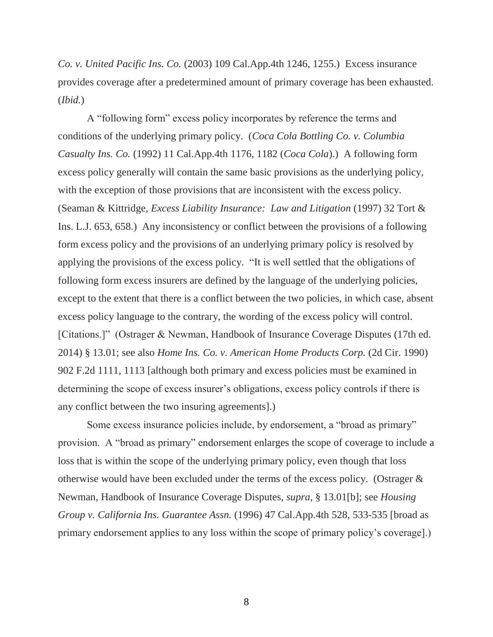*Co. v. United Pacific Ins. Co.* (2003) 109 Cal.App.4th 1246, 1255.) Excess insurance provides coverage after a predetermined amount of primary coverage has been exhausted. (*Ibid.*)

A "following form" excess policy incorporates by reference the terms and conditions of the underlying primary policy. (*Coca Cola Bottling Co. v. Columbia Casualty Ins. Co.* (1992) 11 Cal.App.4th 1176, 1182 (*Coca Cola*).) A following form excess policy generally will contain the same basic provisions as the underlying policy, with the exception of those provisions that are inconsistent with the excess policy. (Seaman & Kittridge, *Excess Liability Insurance: Law and Litigation* (1997) 32 Tort & Ins. L.J. 653, 658.) Any inconsistency or conflict between the provisions of a following form excess policy and the provisions of an underlying primary policy is resolved by applying the provisions of the excess policy. "It is well settled that the obligations of following form excess insurers are defined by the language of the underlying policies, except to the extent that there is a conflict between the two policies, in which case, absent excess policy language to the contrary, the wording of the excess policy will control. [Citations.]" (Ostrager & Newman, Handbook of Insurance Coverage Disputes (17th ed. 2014) § 13.01; see also *Home Ins. Co. v. American Home Products Corp.* (2d Cir. 1990) 902 F.2d 1111, 1113 [although both primary and excess policies must be examined in determining the scope of excess insurer's obligations, excess policy controls if there is any conflict between the two insuring agreements].)

Some excess insurance policies include, by endorsement, a "broad as primary" provision. A "broad as primary" endorsement enlarges the scope of coverage to include a loss that is within the scope of the underlying primary policy, even though that loss otherwise would have been excluded under the terms of the excess policy. (Ostrager & Newman, Handbook of Insurance Coverage Disputes, *supra*, § 13.01[b]; see *Housing Group v. California Ins. Guarantee Assn.* (1996) 47 Cal.App.4th 528, 533-535 [broad as primary endorsement applies to any loss within the scope of primary policy's coverage].)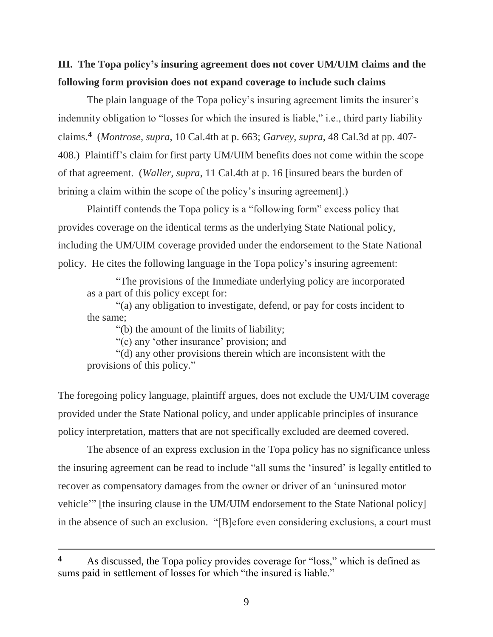## **III. The Topa policy's insuring agreement does not cover UM/UIM claims and the following form provision does not expand coverage to include such claims**

The plain language of the Topa policy's insuring agreement limits the insurer's indemnity obligation to "losses for which the insured is liable," i.e., third party liability claims.**<sup>4</sup>** (*Montrose, supra*, 10 Cal.4th at p. 663; *Garvey, supra*, 48 Cal.3d at pp. 407- 408.) Plaintiff's claim for first party UM/UIM benefits does not come within the scope of that agreement. (*Waller, supra*, 11 Cal.4th at p. 16 [insured bears the burden of brining a claim within the scope of the policy's insuring agreement].)

Plaintiff contends the Topa policy is a "following form" excess policy that provides coverage on the identical terms as the underlying State National policy, including the UM/UIM coverage provided under the endorsement to the State National policy. He cites the following language in the Topa policy's insuring agreement:

"The provisions of the Immediate underlying policy are incorporated as a part of this policy except for:

"(a) any obligation to investigate, defend, or pay for costs incident to the same;

"(b) the amount of the limits of liability;

"(c) any 'other insurance' provision; and

"(d) any other provisions therein which are inconsistent with the provisions of this policy."

The foregoing policy language, plaintiff argues, does not exclude the UM/UIM coverage provided under the State National policy, and under applicable principles of insurance policy interpretation, matters that are not specifically excluded are deemed covered.

The absence of an express exclusion in the Topa policy has no significance unless the insuring agreement can be read to include "all sums the 'insured' is legally entitled to recover as compensatory damages from the owner or driver of an 'uninsured motor vehicle'" [the insuring clause in the UM/UIM endorsement to the State National policy] in the absence of such an exclusion. "[B]efore even considering exclusions, a court must

 $\overline{a}$ 

**<sup>4</sup>** As discussed, the Topa policy provides coverage for "loss," which is defined as sums paid in settlement of losses for which "the insured is liable."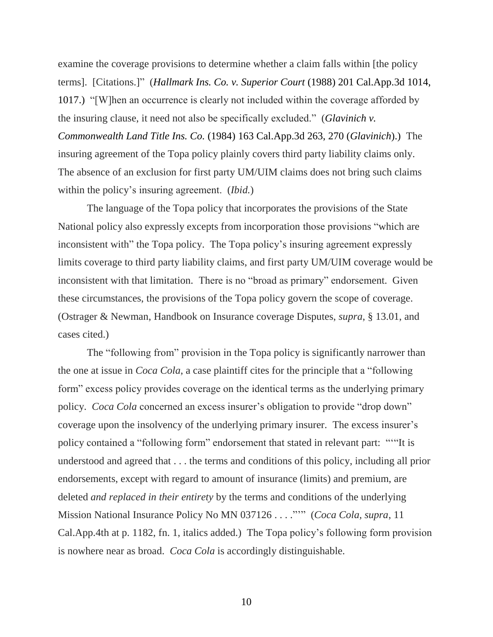examine the coverage provisions to determine whether a claim falls within [the policy terms]. [Citations.]" (*Hallmark Ins. Co. v. Superior Court* (1988) 201 Cal.App.3d 1014, 1017.) "[W]hen an occurrence is clearly not included within the coverage afforded by the insuring clause, it need not also be specifically excluded." (*Glavinich v. Commonwealth Land Title Ins. Co.* (1984) 163 Cal.App.3d 263, 270 (*Glavinich*).) The insuring agreement of the Topa policy plainly covers third party liability claims only. The absence of an exclusion for first party UM/UIM claims does not bring such claims within the policy's insuring agreement. (*Ibid.*)

The language of the Topa policy that incorporates the provisions of the State National policy also expressly excepts from incorporation those provisions "which are inconsistent with" the Topa policy. The Topa policy's insuring agreement expressly limits coverage to third party liability claims, and first party UM/UIM coverage would be inconsistent with that limitation. There is no "broad as primary" endorsement. Given these circumstances, the provisions of the Topa policy govern the scope of coverage. (Ostrager & Newman, Handbook on Insurance coverage Disputes, *supra*, § 13.01, and cases cited.)

The "following from" provision in the Topa policy is significantly narrower than the one at issue in *Coca Cola*, a case plaintiff cites for the principle that a "following form" excess policy provides coverage on the identical terms as the underlying primary policy. *Coca Cola* concerned an excess insurer's obligation to provide "drop down" coverage upon the insolvency of the underlying primary insurer. The excess insurer's policy contained a "following form" endorsement that stated in relevant part: "'"It is understood and agreed that . . . the terms and conditions of this policy, including all prior endorsements, except with regard to amount of insurance (limits) and premium, are deleted *and replaced in their entirety* by the terms and conditions of the underlying Mission National Insurance Policy No MN 037126 . . . ."'" (*Coca Cola, supra*, 11 Cal.App.4th at p. 1182, fn. 1, italics added.) The Topa policy's following form provision is nowhere near as broad. *Coca Cola* is accordingly distinguishable.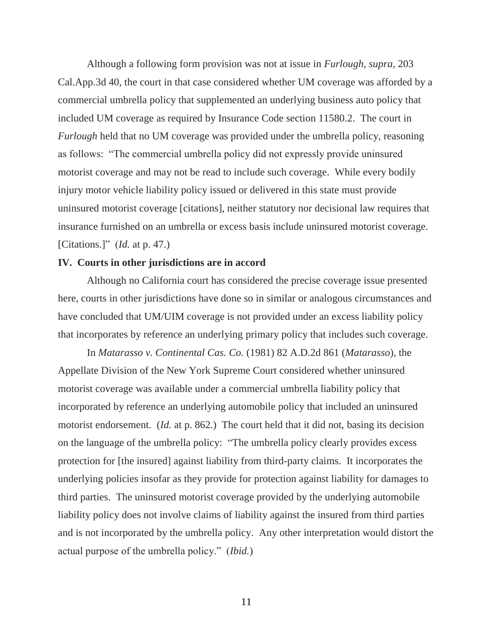Although a following form provision was not at issue in *Furlough, supra,* 203 Cal.App.3d 40, the court in that case considered whether UM coverage was afforded by a commercial umbrella policy that supplemented an underlying business auto policy that included UM coverage as required by Insurance Code section 11580.2. The court in *Furlough* held that no UM coverage was provided under the umbrella policy, reasoning as follows: "The commercial umbrella policy did not expressly provide uninsured motorist coverage and may not be read to include such coverage. While every bodily injury motor vehicle liability policy issued or delivered in this state must provide uninsured motorist coverage [citations], neither statutory nor decisional law requires that insurance furnished on an umbrella or excess basis include uninsured motorist coverage. [Citations.]" (*Id.* at p. 47.)

#### **IV. Courts in other jurisdictions are in accord**

Although no California court has considered the precise coverage issue presented here, courts in other jurisdictions have done so in similar or analogous circumstances and have concluded that UM/UIM coverage is not provided under an excess liability policy that incorporates by reference an underlying primary policy that includes such coverage.

In *Matarasso v. Continental Cas. Co.* (1981) 82 A.D.2d 861 (*Matarasso*), the Appellate Division of the New York Supreme Court considered whether uninsured motorist coverage was available under a commercial umbrella liability policy that incorporated by reference an underlying automobile policy that included an uninsured motorist endorsement. (*Id.* at p. 862.) The court held that it did not, basing its decision on the language of the umbrella policy: "The umbrella policy clearly provides excess protection for [the insured] against liability from third-party claims. It incorporates the underlying policies insofar as they provide for protection against liability for damages to third parties. The uninsured motorist coverage provided by the underlying automobile liability policy does not involve claims of liability against the insured from third parties and is not incorporated by the umbrella policy. Any other interpretation would distort the actual purpose of the umbrella policy." (*Ibid.*)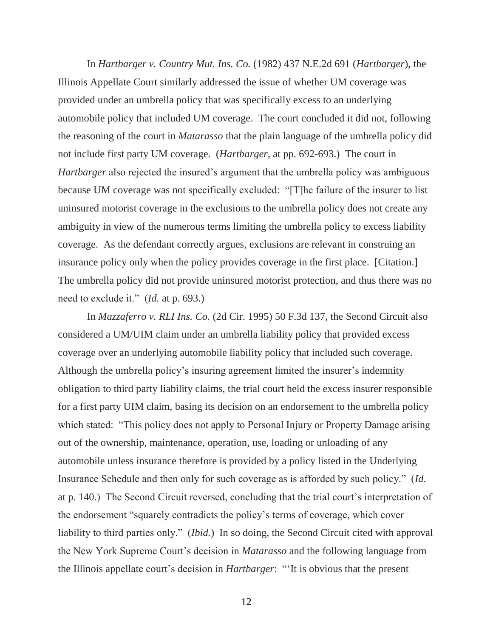In *Hartbarger v. Country Mut. Ins. Co.* (1982) 437 N.E.2d 691 (*Hartbarger*), the Illinois Appellate Court similarly addressed the issue of whether UM coverage was provided under an umbrella policy that was specifically excess to an underlying automobile policy that included UM coverage. The court concluded it did not, following the reasoning of the court in *Matarasso* that the plain language of the umbrella policy did not include first party UM coverage. (*Hartbarger*, at pp. 692-693.) The court in *Hartbarger* also rejected the insured's argument that the umbrella policy was ambiguous because UM coverage was not specifically excluded: "[T]he failure of the insurer to list uninsured motorist coverage in the exclusions to the umbrella policy does not create any ambiguity in view of the numerous terms limiting the umbrella policy to excess liability coverage. As the defendant correctly argues, exclusions are relevant in construing an insurance policy only when the policy provides coverage in the first place. [Citation.] The umbrella policy did not provide uninsured motorist protection, and thus there was no need to exclude it." (*Id.* at p. 693.)

In *Mazzaferro v. RLI Ins. Co.* (2d Cir. 1995) 50 F.3d 137, the Second Circuit also considered a UM/UIM claim under an umbrella liability policy that provided excess coverage over an underlying automobile liability policy that included such coverage. Although the umbrella policy's insuring agreement limited the insurer's indemnity obligation to third party liability claims, the trial court held the excess insurer responsible for a first party UIM claim, basing its decision on an endorsement to the umbrella policy which stated: "This policy does not apply to Personal Injury or Property Damage arising out of the ownership, maintenance, operation, use, loading or unloading of any automobile unless insurance therefore is provided by a policy listed in the Underlying Insurance Schedule and then only for such coverage as is afforded by such policy." (*Id*. at p. 140.) The Second Circuit reversed, concluding that the trial court's interpretation of the endorsement "squarely contradicts the policy's terms of coverage, which cover liability to third parties only." (*Ibid.*) In so doing, the Second Circuit cited with approval the New York Supreme Court's decision in *Matarasso* and the following language from the Illinois appellate court's decision in *Hartbarger*: "'It is obvious that the present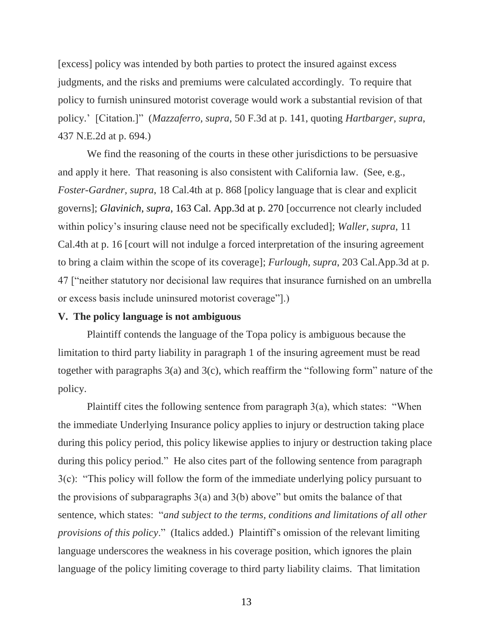[excess] policy was intended by both parties to protect the insured against excess judgments, and the risks and premiums were calculated accordingly. To require that policy to furnish uninsured motorist coverage would work a substantial revision of that policy.' [Citation.]" (*Mazzaferro, supra*, 50 F.3d at p. 141, quoting *Hartbarger, supra*, 437 N.E.2d at p. 694.)

We find the reasoning of the courts in these other jurisdictions to be persuasive and apply it here. That reasoning is also consistent with California law. (See, e.g., *Foster-Gardner, supra*, 18 Cal.4th at p. 868 [policy language that is clear and explicit governs]; *Glavinich, supra*, 163 Cal. App.3d at p. 270 [occurrence not clearly included within policy's insuring clause need not be specifically excluded]; *Waller, supra*, 11 Cal.4th at p. 16 [court will not indulge a forced interpretation of the insuring agreement to bring a claim within the scope of its coverage]; *Furlough, supra*, 203 Cal.App.3d at p. 47 ["neither statutory nor decisional law requires that insurance furnished on an umbrella or excess basis include uninsured motorist coverage"].)

#### **V. The policy language is not ambiguous**

Plaintiff contends the language of the Topa policy is ambiguous because the limitation to third party liability in paragraph 1 of the insuring agreement must be read together with paragraphs 3(a) and 3(c), which reaffirm the "following form" nature of the policy.

Plaintiff cites the following sentence from paragraph 3(a), which states: "When the immediate Underlying Insurance policy applies to injury or destruction taking place during this policy period, this policy likewise applies to injury or destruction taking place during this policy period." He also cites part of the following sentence from paragraph 3(c): "This policy will follow the form of the immediate underlying policy pursuant to the provisions of subparagraphs  $3(a)$  and  $3(b)$  above" but omits the balance of that sentence, which states: "*and subject to the terms, conditions and limitations of all other provisions of this policy*." (Italics added.) Plaintiff's omission of the relevant limiting language underscores the weakness in his coverage position, which ignores the plain language of the policy limiting coverage to third party liability claims. That limitation